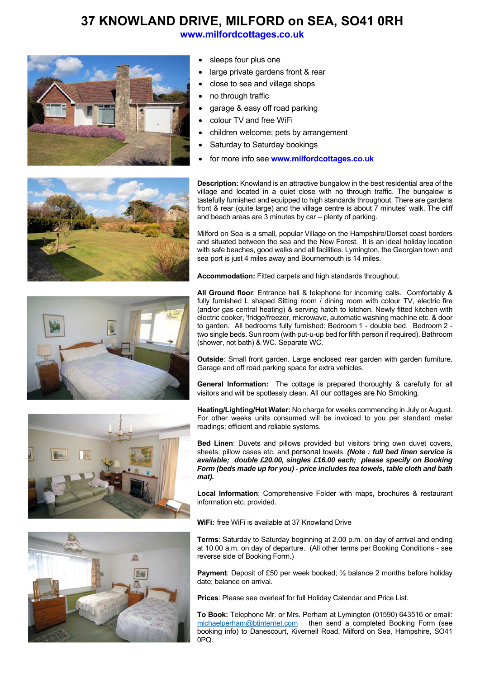## **37 KNOWLAND DRIVE, MILFORD on SEA, SO41 0RH**

**www.milfordcottages.co.uk**



- sleeps four plus one
- large private gardens front & rear
- close to sea and village shops
- no through traffic
- garage & easy off road parking
- colour TV and free WiFi
- children welcome; pets by arrangement
- Saturday to Saturday bookings
- for more info see **www.milfordcottages.co.uk**



**Description:** Knowland is an attractive bungalow in the best residential area of the village and located in a quiet close with no through traffic. The bungalow is tastefully furnished and equipped to high standards throughout. There are gardens front & rear (quite large) and the village centre is about 7 minutes' walk. The cliff and beach areas are 3 minutes by car – plenty of parking.

Milford on Sea is a small, popular Village on the Hampshire/Dorset coast borders and situated between the sea and the New Forest. It is an ideal holiday location with safe beaches, good walks and all facilities. Lymington, the Georgian town and sea port is just 4 miles away and Bournemouth is 14 miles.

**Accommodation:** Fitted carpets and high standards throughout.







**All Ground floor**: Entrance hall & telephone for incoming calls. Comfortably & fully furnished L shaped Sitting room / dining room with colour TV, electric fire (and/or gas central heating) & serving hatch to kitchen. Newly fitted kitchen with electric cooker, 'fridge/freezer, microwave, automatic washing machine etc. & door to garden. All bedrooms fully furnished: Bedroom 1 - double bed. Bedroom 2 two single beds. Sun room (with put-u-up bed for fifth person if required). Bathroom (shower, not bath) & WC. Separate WC.

**Outside:** Small front garden. Large enclosed rear garden with garden furniture. Garage and off road parking space for extra vehicles.

**General Information:** The cottage is prepared thoroughly & carefully for all visitors and will be spotlessly clean. All our cottages are No Smoking*.* 

**Heating/Lighting/Hot Water:** No charge for weeks commencing in July or August. For other weeks units consumed will be invoiced to you per standard meter readings; efficient and reliable systems.

**Bed Linen**: Duvets and pillows provided but visitors bring own duvet covers, sheets, pillow cases etc. and personal towels. *(Note : full bed linen service is available; double £20.00, singles £16.00 each; please specify on Booking Form (beds made up for you) - price includes tea towels, table cloth and bath mat).*

**Local Information**: Comprehensive Folder with maps, brochures & restaurant information etc. provided.

**WiFi:** free WiFi is available at 37 Knowland Drive

**Terms**: Saturday to Saturday beginning at 2.00 p.m. on day of arrival and ending at 10.00 a.m. on day of departure. (All other terms per Booking Conditions - see reverse side of Booking Form.)

**Payment:** Deposit of £50 per week booked; 1/2 balance 2 months before holiday date; balance on arrival.

**Prices**: Please see overleaf for full Holiday Calendar and Price List.

**To Book:** Telephone Mr. or Mrs. Perham at Lymington (01590) 643516 or email: michaelperham@btinternet.com then send a completed Booking Form (see booking info) to Danescourt, Kivernell Road, Milford on Sea, Hampshire, SO41 0PQ.